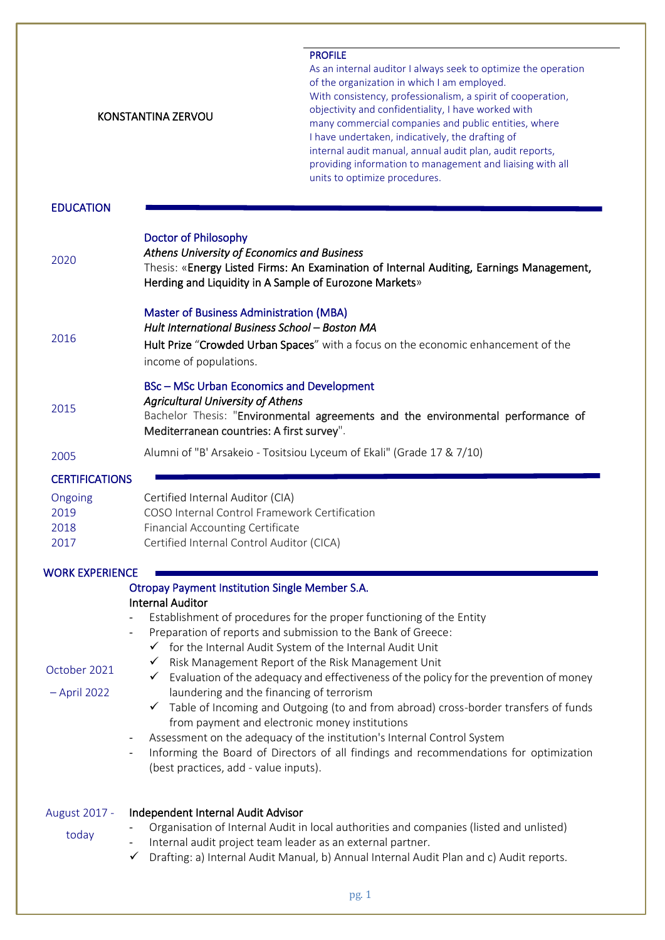|                                 | <b>KONSTANTINA ZERVOU</b>                                                                                                                                                                                                                                                                                                                                                                                                                                      | <b>PROFILE</b><br>As an internal auditor I always seek to optimize the operation<br>of the organization in which I am employed.<br>With consistency, professionalism, a spirit of cooperation,<br>objectivity and confidentiality, I have worked with<br>many commercial companies and public entities, where<br>I have undertaken, indicatively, the drafting of<br>internal audit manual, annual audit plan, audit reports,<br>providing information to management and liaising with all<br>units to optimize procedures. |
|---------------------------------|----------------------------------------------------------------------------------------------------------------------------------------------------------------------------------------------------------------------------------------------------------------------------------------------------------------------------------------------------------------------------------------------------------------------------------------------------------------|-----------------------------------------------------------------------------------------------------------------------------------------------------------------------------------------------------------------------------------------------------------------------------------------------------------------------------------------------------------------------------------------------------------------------------------------------------------------------------------------------------------------------------|
| <b>EDUCATION</b>                |                                                                                                                                                                                                                                                                                                                                                                                                                                                                |                                                                                                                                                                                                                                                                                                                                                                                                                                                                                                                             |
| 2020                            | <b>Doctor of Philosophy</b><br>Athens University of Economics and Business<br>Herding and Liquidity in A Sample of Eurozone Markets»                                                                                                                                                                                                                                                                                                                           | Thesis: «Energy Listed Firms: An Examination of Internal Auditing, Earnings Management,                                                                                                                                                                                                                                                                                                                                                                                                                                     |
| 2016                            | <b>Master of Business Administration (MBA)</b><br>Hult International Business School - Boston MA<br>income of populations.                                                                                                                                                                                                                                                                                                                                     | Hult Prize "Crowded Urban Spaces" with a focus on the economic enhancement of the                                                                                                                                                                                                                                                                                                                                                                                                                                           |
| 2015                            | <b>BSc-MSc Urban Economics and Development</b><br><b>Agricultural University of Athens</b><br>Mediterranean countries: A first survey".                                                                                                                                                                                                                                                                                                                        | Bachelor Thesis: "Environmental agreements and the environmental performance of                                                                                                                                                                                                                                                                                                                                                                                                                                             |
| 2005                            |                                                                                                                                                                                                                                                                                                                                                                                                                                                                | Alumni of "B' Arsakeio - Tositsiou Lyceum of Ekali" (Grade 17 & 7/10)                                                                                                                                                                                                                                                                                                                                                                                                                                                       |
| <b>CERTIFICATIONS</b>           |                                                                                                                                                                                                                                                                                                                                                                                                                                                                |                                                                                                                                                                                                                                                                                                                                                                                                                                                                                                                             |
| Ongoing<br>2019<br>2018<br>2017 | Certified Internal Auditor (CIA)<br>COSO Internal Control Framework Certification<br><b>Financial Accounting Certificate</b><br>Certified Internal Control Auditor (CICA)                                                                                                                                                                                                                                                                                      |                                                                                                                                                                                                                                                                                                                                                                                                                                                                                                                             |
| <b>WORK EXPERIENCE</b>          |                                                                                                                                                                                                                                                                                                                                                                                                                                                                |                                                                                                                                                                                                                                                                                                                                                                                                                                                                                                                             |
| October 2021<br>$-$ April 2022  | <b>Otropay Payment Institution Single Member S.A.</b><br><b>Internal Auditor</b><br>Preparation of reports and submission to the Bank of Greece:<br>$\overline{\phantom{a}}$<br>$\checkmark$ for the Internal Audit System of the Internal Audit Unit<br>$\checkmark$<br>✓<br>laundering and the financing of terrorism<br>$\checkmark$<br>from payment and electronic money institutions<br>$\overline{\phantom{a}}$<br>(best practices, add - value inputs). | Establishment of procedures for the proper functioning of the Entity<br>Risk Management Report of the Risk Management Unit<br>Evaluation of the adequacy and effectiveness of the policy for the prevention of money<br>Table of Incoming and Outgoing (to and from abroad) cross-border transfers of funds<br>Assessment on the adequacy of the institution's Internal Control System<br>Informing the Board of Directors of all findings and recommendations for optimization                                             |
| August 2017 -<br>today          | Independent Internal Audit Advisor<br>Internal audit project team leader as an external partner.<br>$\checkmark$                                                                                                                                                                                                                                                                                                                                               | Organisation of Internal Audit in local authorities and companies (listed and unlisted)<br>Drafting: a) Internal Audit Manual, b) Annual Internal Audit Plan and c) Audit reports.                                                                                                                                                                                                                                                                                                                                          |